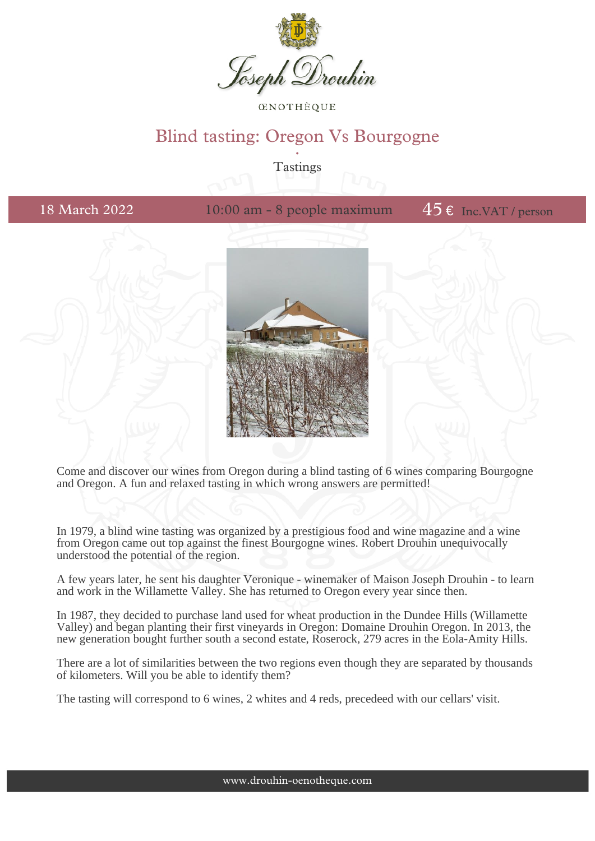

**CENOTHÈOUE** 

## Blind tasting: Oregon Vs Bourgogne .<br>.<br>.

Tastings

18 March 2022 10:00 am - 8 people maximum  $45 \text{ E}$  Inc.VAT / person





Come and discover our wines from Oregon during a blind tasting of 6 wines comparing Bourgogne and Oregon. A fun and relaxed tasting in which wrong answers are permitted!

In 1979, a blind wine tasting was organized by a prestigious food and wine magazine and a wine from Oregon came out top against the finest Bourgogne wines. Robert Drouhin unequivocally understood the potential of the region.

A few years later, he sent his daughter Veronique - winemaker of Maison Joseph Drouhin - to learn and work in the Willamette Valley. She has returned to Oregon every year since then.

In 1987, they decided to purchase land used for wheat production in the Dundee Hills (Willamette Valley) and began planting their first vineyards in Oregon: Domaine Drouhin Oregon. In 2013, the new generation bought further south a second estate, Roserock, 279 acres in the Eola-Amity Hills.

There are a lot of similarities between the two regions even though they are separated by thousands of kilometers. Will you be able to identify them?

The tasting will correspond to 6 wines, 2 whites and 4 reds, precedeed with our cellars' visit.